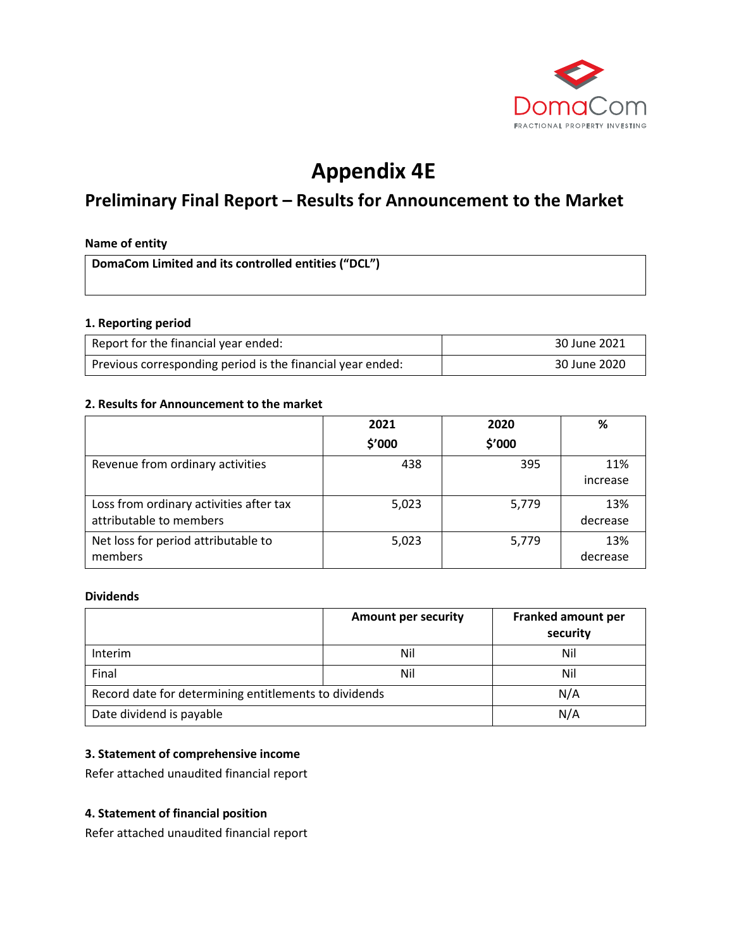

# **Appendix 4E**

# **Preliminary Final Report – Results for Announcement to the Market**

#### **Name of entity**

**DomaCom Limited and its controlled entities ("DCL")**

#### **1. Reporting period**

| Report for the financial year ended:                       | 30 June 2021 |
|------------------------------------------------------------|--------------|
| Previous corresponding period is the financial year ended: | 30 June 2020 |

#### **2. Results for Announcement to the market**

|                                                                    | 2021   | 2020   | %               |
|--------------------------------------------------------------------|--------|--------|-----------------|
|                                                                    | \$′000 | \$'000 |                 |
| Revenue from ordinary activities                                   | 438    | 395    | 11%<br>increase |
| Loss from ordinary activities after tax<br>attributable to members | 5,023  | 5,779  | 13%<br>decrease |
| Net loss for period attributable to<br>members                     | 5,023  | 5,779  | 13%<br>decrease |

#### **Dividends**

|                                                       | <b>Amount per security</b> | Franked amount per<br>security |
|-------------------------------------------------------|----------------------------|--------------------------------|
| Interim                                               | Nil                        | Nil                            |
| Final                                                 | Nil                        | Nil                            |
| Record date for determining entitlements to dividends | N/A                        |                                |
| Date dividend is payable                              |                            | N/A                            |

# **3. Statement of comprehensive income**

Refer attached unaudited financial report

#### **4. Statement of financial position**

Refer attached unaudited financial report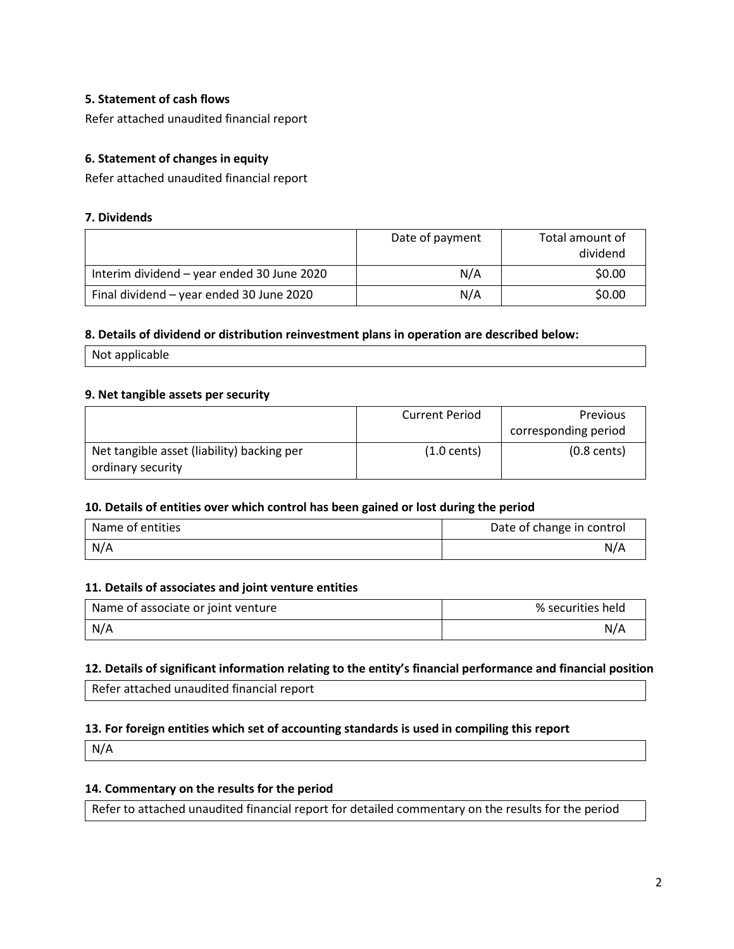# **5. Statement of cash flows**

Refer attached unaudited financial report

# **6. Statement of changes in equity**

Refer attached unaudited financial report

#### **7. Dividends**

|                                            | Date of payment | Total amount of<br>dividend |
|--------------------------------------------|-----------------|-----------------------------|
| Interim dividend - year ended 30 June 2020 | N/A             | \$0.00                      |
| Final dividend - year ended 30 June 2020   | N/A             | \$0.00                      |

#### **8. Details of dividend or distribution reinvestment plans in operation are described below:**

Not applicable

#### **9. Net tangible assets per security**

|                                            | <b>Current Period</b> | <b>Previous</b>       |
|--------------------------------------------|-----------------------|-----------------------|
|                                            |                       | corresponding period  |
| Net tangible asset (liability) backing per | $(1.0 \text{ cents})$ | $(0.8 \text{ cents})$ |
| ordinary security                          |                       |                       |

#### **10. Details of entities over which control has been gained or lost during the period**

| Name of entities | Date of change in control |
|------------------|---------------------------|
| N/A              | N/A                       |

#### **11. Details of associates and joint venture entities**

| Name of associate or joint venture | % securities held |
|------------------------------------|-------------------|
| N/A                                | N/A               |

#### **12. Details of significant information relating to the entity's financial performance and financial position**

Refer attached unaudited financial report

#### **13. For foreign entities which set of accounting standards is used in compiling this report**

N/A

# **14. Commentary on the results for the period**

Refer to attached unaudited financial report for detailed commentary on the results for the period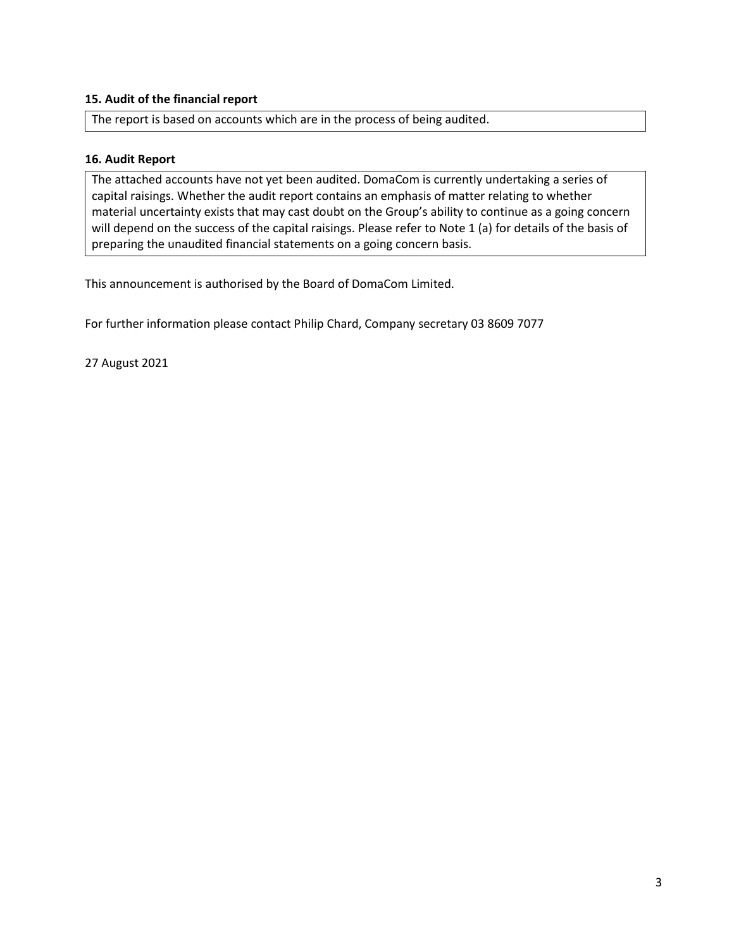# **15. Audit of the financial report**

The report is based on accounts which are in the process of being audited.

#### **16. Audit Report**

The attached accounts have not yet been audited. DomaCom is currently undertaking a series of capital raisings. Whether the audit report contains an emphasis of matter relating to whether material uncertainty exists that may cast doubt on the Group's ability to continue as a going concern will depend on the success of the capital raisings. Please refer to Note 1 (a) for details of the basis of preparing the unaudited financial statements on a going concern basis.

This announcement is authorised by the Board of DomaCom Limited.

For further information please contact Philip Chard, Company secretary 03 8609 7077

27 August 2021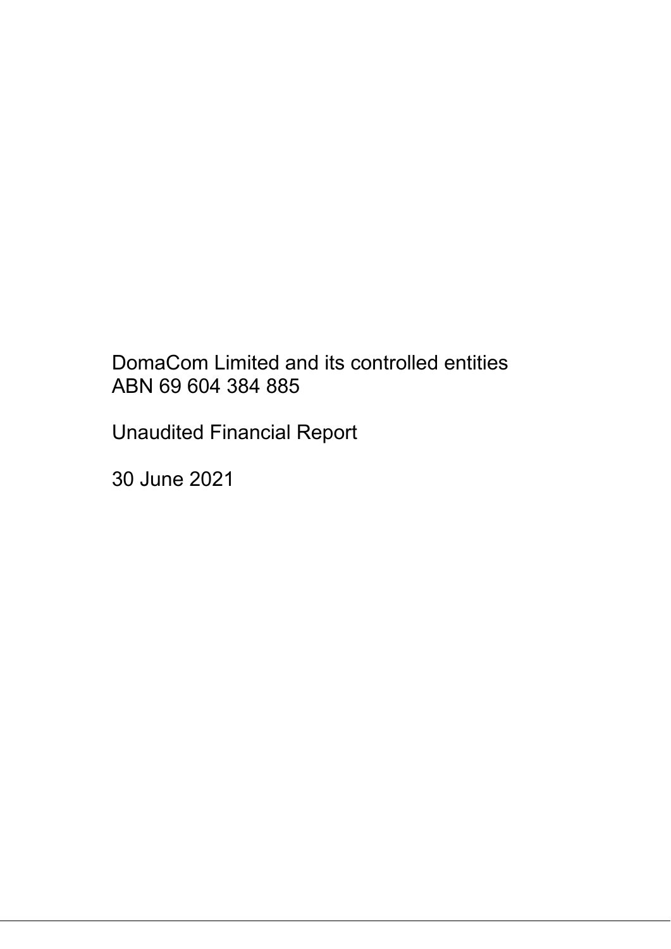# DomaCom Limited and its controlled entities ABN 69 604 384 885

Unaudited Financial Report

30 June 2021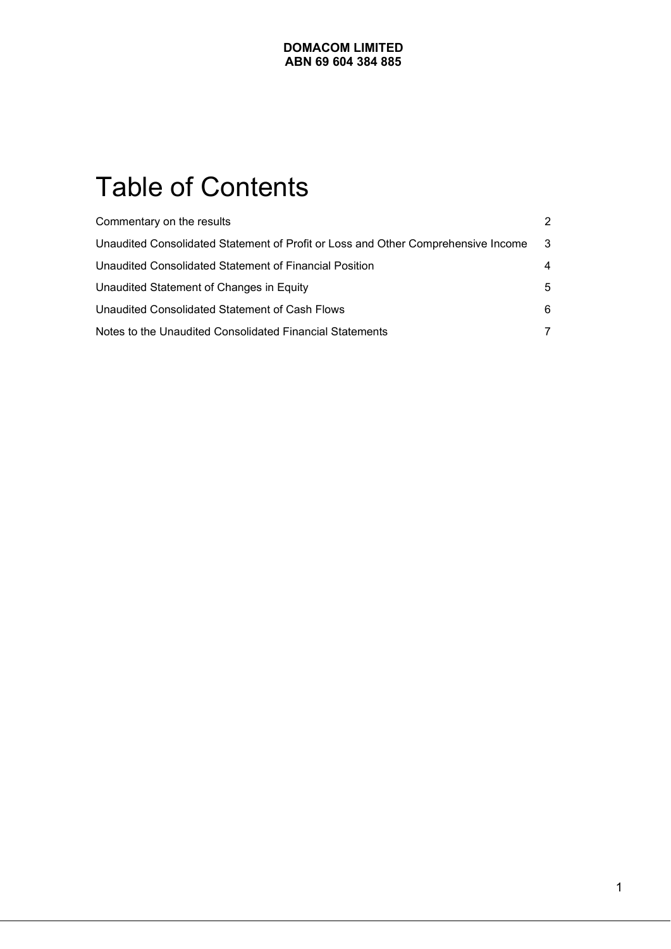# Table of Contents

| Commentary on the results                                                         | $\mathcal{P}$ |
|-----------------------------------------------------------------------------------|---------------|
| Unaudited Consolidated Statement of Profit or Loss and Other Comprehensive Income | - 3           |
| Unaudited Consolidated Statement of Financial Position                            | 4             |
| Unaudited Statement of Changes in Equity                                          | 5             |
| Unaudited Consolidated Statement of Cash Flows                                    | 6             |
| Notes to the Unaudited Consolidated Financial Statements                          | 7             |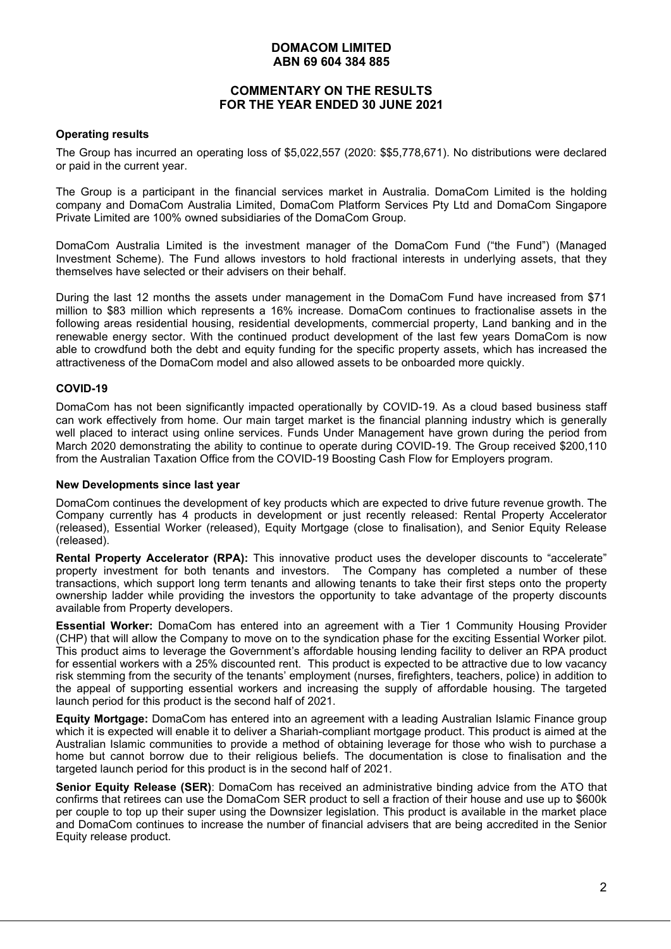# **COMMENTARY ON THE RESULTS FOR THE YEAR ENDED 30 JUNE 2021**

#### **Operating results**

The Group has incurred an operating loss of \$5,022,557 (2020: \$\$5,778,671). No distributions were declared or paid in the current year.

The Group is a participant in the financial services market in Australia. DomaCom Limited is the holding company and DomaCom Australia Limited, DomaCom Platform Services Pty Ltd and DomaCom Singapore Private Limited are 100% owned subsidiaries of the DomaCom Group.

DomaCom Australia Limited is the investment manager of the DomaCom Fund ("the Fund") (Managed Investment Scheme). The Fund allows investors to hold fractional interests in underlying assets, that they themselves have selected or their advisers on their behalf.

During the last 12 months the assets under management in the DomaCom Fund have increased from \$71 million to \$83 million which represents a 16% increase. DomaCom continues to fractionalise assets in the following areas residential housing, residential developments, commercial property, Land banking and in the renewable energy sector. With the continued product development of the last few years DomaCom is now able to crowdfund both the debt and equity funding for the specific property assets, which has increased the attractiveness of the DomaCom model and also allowed assets to be onboarded more quickly.

#### **COVID-19**

DomaCom has not been significantly impacted operationally by COVID-19. As a cloud based business staff can work effectively from home. Our main target market is the financial planning industry which is generally well placed to interact using online services. Funds Under Management have grown during the period from March 2020 demonstrating the ability to continue to operate during COVID-19. The Group received \$200,110 from the Australian Taxation Office from the COVID-19 Boosting Cash Flow for Employers program.

#### **New Developments since last year**

DomaCom continues the development of key products which are expected to drive future revenue growth. The Company currently has 4 products in development or just recently released: Rental Property Accelerator (released), Essential Worker (released), Equity Mortgage (close to finalisation), and Senior Equity Release (released).

**Rental Property Accelerator (RPA):** This innovative product uses the developer discounts to "accelerate" property investment for both tenants and investors. The Company has completed a number of these transactions, which support long term tenants and allowing tenants to take their first steps onto the property ownership ladder while providing the investors the opportunity to take advantage of the property discounts available from Property developers.

**Essential Worker:** DomaCom has entered into an agreement with a Tier 1 Community Housing Provider (CHP) that will allow the Company to move on to the syndication phase for the exciting Essential Worker pilot. This product aims to leverage the Government's affordable housing lending facility to deliver an RPA product for essential workers with a 25% discounted rent. This product is expected to be attractive due to low vacancy risk stemming from the security of the tenants' employment (nurses, firefighters, teachers, police) in addition to the appeal of supporting essential workers and increasing the supply of affordable housing. The targeted launch period for this product is the second half of 2021.

**Equity Mortgage:** DomaCom has entered into an agreement with a leading Australian Islamic Finance group which it is expected will enable it to deliver a Shariah-compliant mortgage product. This product is aimed at the Australian Islamic communities to provide a method of obtaining leverage for those who wish to purchase a home but cannot borrow due to their religious beliefs. The documentation is close to finalisation and the targeted launch period for this product is in the second half of 2021.

**Senior Equity Release (SER)**: DomaCom has received an administrative binding advice from the ATO that confirms that retirees can use the DomaCom SER product to sell a fraction of their house and use up to \$600k per couple to top up their super using the Downsizer legislation. This product is available in the market place and DomaCom continues to increase the number of financial advisers that are being accredited in the Senior Equity release product.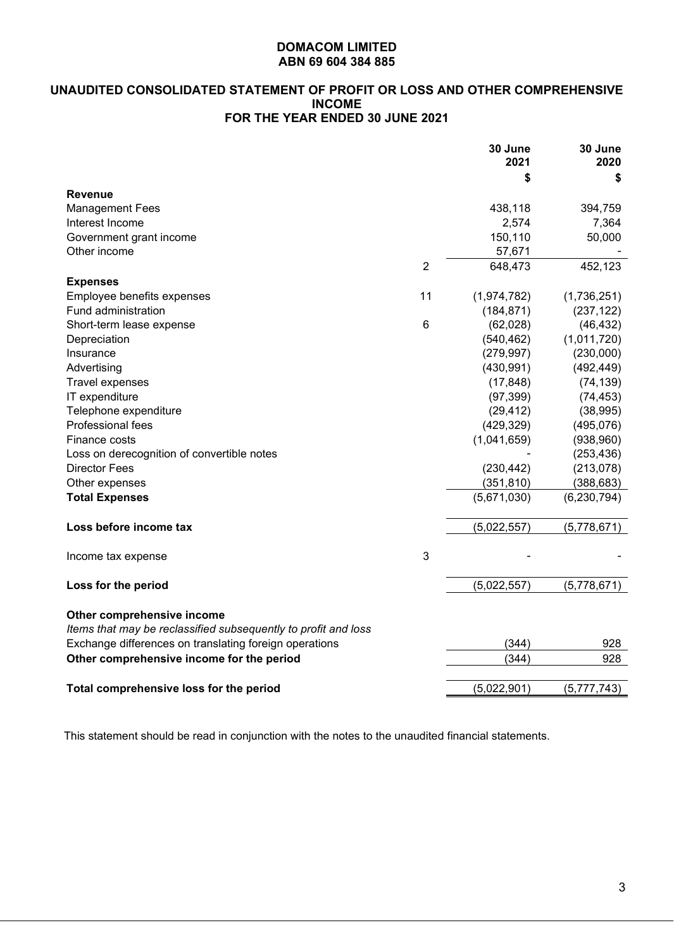# **UNAUDITED CONSOLIDATED STATEMENT OF PROFIT OR LOSS AND OTHER COMPREHENSIVE INCOME FOR THE YEAR ENDED 30 JUNE 2021**

|                                                                                              |                | 30 June<br>2021 | 30 June<br>2020 |
|----------------------------------------------------------------------------------------------|----------------|-----------------|-----------------|
|                                                                                              |                | \$              | \$              |
| Revenue                                                                                      |                |                 |                 |
| <b>Management Fees</b>                                                                       |                | 438,118         | 394,759         |
| Interest Income                                                                              |                | 2,574           | 7,364           |
| Government grant income                                                                      |                | 150,110         | 50,000          |
| Other income                                                                                 |                | 57,671          |                 |
|                                                                                              | $\overline{2}$ | 648,473         | 452,123         |
| <b>Expenses</b>                                                                              |                |                 |                 |
| Employee benefits expenses                                                                   | 11             | (1,974,782)     | (1,736,251)     |
| Fund administration                                                                          |                | (184, 871)      | (237, 122)      |
| Short-term lease expense                                                                     | 6              | (62,028)        | (46, 432)       |
| Depreciation                                                                                 |                | (540, 462)      | (1,011,720)     |
| Insurance                                                                                    |                | (279, 997)      | (230,000)       |
| Advertising                                                                                  |                | (430, 991)      | (492, 449)      |
| Travel expenses                                                                              |                | (17, 848)       | (74, 139)       |
| IT expenditure                                                                               |                | (97, 399)       | (74, 453)       |
| Telephone expenditure                                                                        |                | (29, 412)       | (38, 995)       |
| Professional fees                                                                            |                | (429, 329)      | (495, 076)      |
| Finance costs                                                                                |                | (1,041,659)     | (938,960)       |
| Loss on derecognition of convertible notes                                                   |                |                 | (253, 436)      |
| <b>Director Fees</b>                                                                         |                | (230, 442)      | (213, 078)      |
| Other expenses                                                                               |                | (351, 810)      | (388, 683)      |
| <b>Total Expenses</b>                                                                        |                | (5,671,030)     | (6, 230, 794)   |
| Loss before income tax                                                                       |                | (5,022,557)     | (5,778,671)     |
| Income tax expense                                                                           | 3              |                 |                 |
| Loss for the period                                                                          |                | (5,022,557)     | (5,778,671)     |
| Other comprehensive income<br>Items that may be reclassified subsequently to profit and loss |                |                 |                 |
| Exchange differences on translating foreign operations                                       |                | (344)           | 928             |
| Other comprehensive income for the period                                                    |                | (344)           | 928             |
| Total comprehensive loss for the period                                                      |                | (5,022,901)     | (5,777,743)     |
|                                                                                              |                |                 |                 |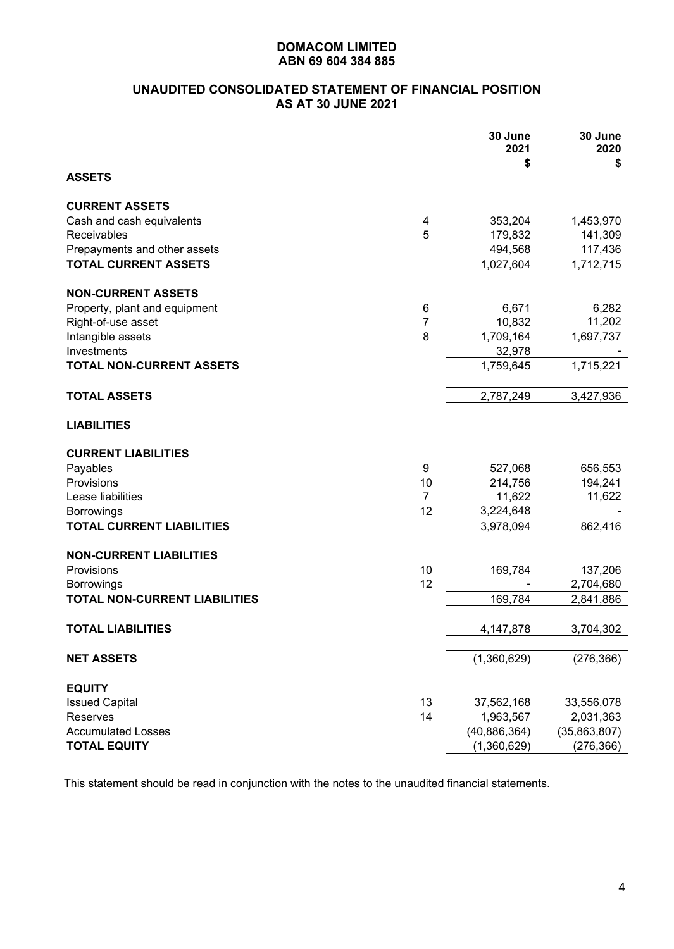# **UNAUDITED CONSOLIDATED STATEMENT OF FINANCIAL POSITION AS AT 30 JUNE 2021**

|                                      |                | 30 June<br>2021<br>\$ | 30 June<br>2020<br>\$ |
|--------------------------------------|----------------|-----------------------|-----------------------|
| <b>ASSETS</b>                        |                |                       |                       |
| <b>CURRENT ASSETS</b>                |                |                       |                       |
| Cash and cash equivalents            | 4              | 353,204               | 1,453,970             |
| Receivables                          | 5              | 179,832               | 141,309               |
| Prepayments and other assets         |                | 494,568               | 117,436               |
| <b>TOTAL CURRENT ASSETS</b>          |                | 1,027,604             | 1,712,715             |
| <b>NON-CURRENT ASSETS</b>            |                |                       |                       |
| Property, plant and equipment        | 6              | 6,671                 | 6,282                 |
| Right-of-use asset                   | $\overline{7}$ | 10,832                | 11,202                |
| Intangible assets                    | 8              | 1,709,164             | 1,697,737             |
| Investments                          |                | 32,978                |                       |
| <b>TOTAL NON-CURRENT ASSETS</b>      |                | 1,759,645             | 1,715,221             |
| <b>TOTAL ASSETS</b>                  |                | 2,787,249             | 3,427,936             |
| <b>LIABILITIES</b>                   |                |                       |                       |
| <b>CURRENT LIABILITIES</b>           |                |                       |                       |
| Payables                             | 9              | 527,068               | 656,553               |
| Provisions                           | 10             | 214,756               | 194,241               |
| Lease liabilities                    | $\overline{7}$ | 11,622                | 11,622                |
| <b>Borrowings</b>                    | 12             | 3,224,648             |                       |
| <b>TOTAL CURRENT LIABILITIES</b>     |                | 3,978,094             | 862,416               |
| <b>NON-CURRENT LIABILITIES</b>       |                |                       |                       |
| Provisions                           | 10             | 169,784               | 137,206               |
| <b>Borrowings</b>                    | 12             |                       | 2,704,680             |
| <b>TOTAL NON-CURRENT LIABILITIES</b> |                | 169,784               | 2,841,886             |
| <b>TOTAL LIABILITIES</b>             |                | 4, 147, 878           | 3.704.302             |
| <b>NET ASSETS</b>                    |                | (1,360,629)           | (276, 366)            |
| <b>EQUITY</b>                        |                |                       |                       |
| <b>Issued Capital</b>                | 13             | 37,562,168            | 33,556,078            |
| Reserves                             | 14             | 1,963,567             | 2,031,363             |
| <b>Accumulated Losses</b>            |                | (40, 886, 364)        | (35,863,807)          |
| <b>TOTAL EQUITY</b>                  |                | (1,360,629)           | (276, 366)            |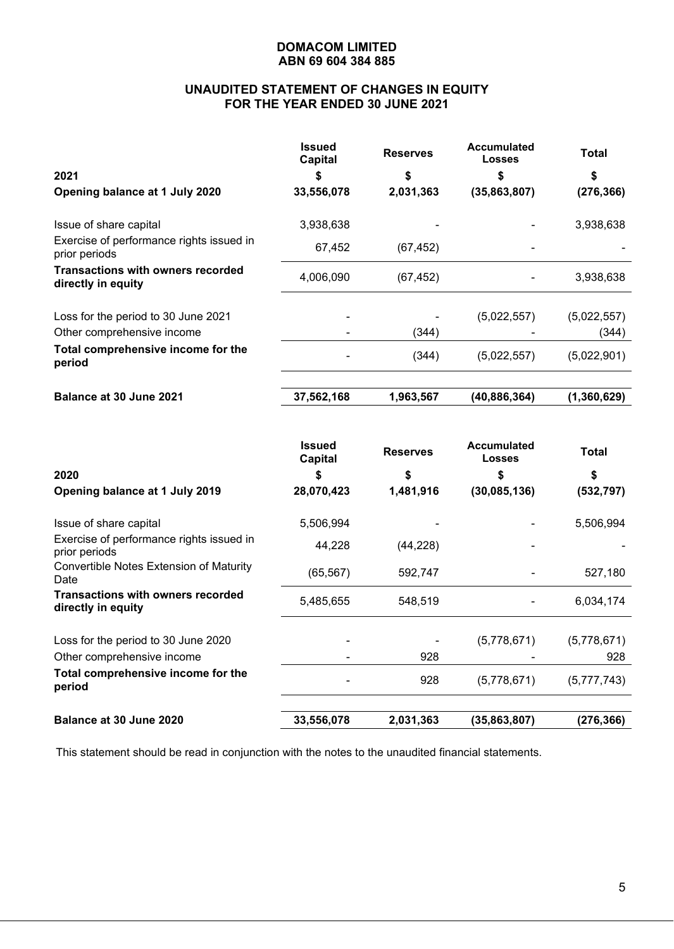# **UNAUDITED STATEMENT OF CHANGES IN EQUITY FOR THE YEAR ENDED 30 JUNE 2021**

|                                                                | <b>Issued</b><br><b>Capital</b> | <b>Reserves</b> | <b>Accumulated</b><br><b>Losses</b> | Total       |
|----------------------------------------------------------------|---------------------------------|-----------------|-------------------------------------|-------------|
| 2021                                                           | S                               | S               | S                                   | \$          |
| Opening balance at 1 July 2020                                 | 33,556,078                      | 2,031,363       | (35,863,807)                        | (276, 366)  |
| Issue of share capital                                         | 3,938,638                       |                 |                                     | 3,938,638   |
| Exercise of performance rights issued in<br>prior periods      | 67,452                          | (67, 452)       |                                     |             |
| <b>Transactions with owners recorded</b><br>directly in equity | 4,006,090                       | (67, 452)       |                                     | 3,938,638   |
| Loss for the period to 30 June 2021                            |                                 |                 | (5,022,557)                         | (5,022,557) |
| Other comprehensive income                                     |                                 | (344)           |                                     | (344)       |
| Total comprehensive income for the<br>period                   |                                 | (344)           | (5,022,557)                         | (5,022,901) |
| Balance at 30 June 2021                                        | 37,562,168                      | 1,963,567       | (40,886,364)                        | (1,360,629) |
|                                                                |                                 |                 |                                     |             |

|                                                                | <b>Issued</b><br><b>Capital</b> | <b>Reserves</b> | <b>Accumulated</b><br><b>Losses</b> | Total       |
|----------------------------------------------------------------|---------------------------------|-----------------|-------------------------------------|-------------|
| 2020                                                           | 5                               | S               | S                                   | \$          |
| Opening balance at 1 July 2019                                 | 28,070,423                      | 1,481,916       | (30,085,136)                        | (532, 797)  |
| Issue of share capital                                         | 5,506,994                       |                 |                                     | 5,506,994   |
| Exercise of performance rights issued in<br>prior periods      | 44,228                          | (44, 228)       |                                     |             |
| Convertible Notes Extension of Maturity<br>Date                | (65, 567)                       | 592,747         |                                     | 527,180     |
| <b>Transactions with owners recorded</b><br>directly in equity | 5,485,655                       | 548,519         |                                     | 6,034,174   |
| Loss for the period to 30 June 2020                            |                                 |                 | (5,778,671)                         | (5,778,671) |
| Other comprehensive income                                     |                                 | 928             |                                     | 928         |
| Total comprehensive income for the<br>period                   |                                 | 928             | (5,778,671)                         | (5,777,743) |
| Balance at 30 June 2020                                        | 33,556,078                      | 2,031,363       | (35, 863, 807)                      | (276, 366)  |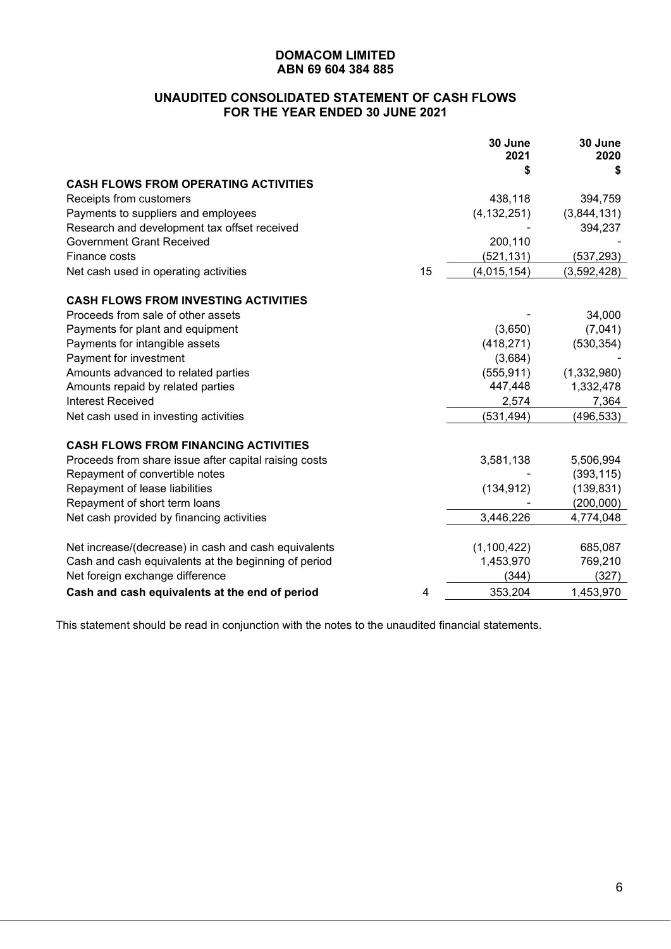# **UNAUDITED CONSOLIDATED STATEMENT OF CASH FLOWS FOR THE YEAR ENDED 30 JUNE 2021**

|                                                       |    | 30 June<br>2021 | 30 June<br>2020 |
|-------------------------------------------------------|----|-----------------|-----------------|
|                                                       |    | S               | S               |
| <b>CASH FLOWS FROM OPERATING ACTIVITIES</b>           |    |                 |                 |
| Receipts from customers                               |    | 438,118         | 394,759         |
| Payments to suppliers and employees                   |    | (4, 132, 251)   | (3,844,131)     |
| Research and development tax offset received          |    |                 | 394,237         |
| <b>Government Grant Received</b>                      |    | 200,110         |                 |
| Finance costs                                         |    | (521,131)       | (537, 293)      |
| Net cash used in operating activities                 | 15 | (4,015,154)     | (3,592,428)     |
| <b>CASH FLOWS FROM INVESTING ACTIVITIES</b>           |    |                 |                 |
| Proceeds from sale of other assets                    |    |                 | 34,000          |
| Payments for plant and equipment                      |    | (3,650)         | (7,041)         |
| Payments for intangible assets                        |    | (418, 271)      | (530, 354)      |
| Payment for investment                                |    | (3,684)         |                 |
| Amounts advanced to related parties                   |    | (555, 911)      | (1,332,980)     |
| Amounts repaid by related parties                     |    | 447,448         | 1,332,478       |
| <b>Interest Received</b>                              |    | 2,574           | 7,364           |
| Net cash used in investing activities                 |    | (531, 494)      | (496, 533)      |
| <b>CASH FLOWS FROM FINANCING ACTIVITIES</b>           |    |                 |                 |
| Proceeds from share issue after capital raising costs |    | 3,581,138       | 5,506,994       |
| Repayment of convertible notes                        |    |                 | (393, 115)      |
| Repayment of lease liabilities                        |    | (134, 912)      | (139, 831)      |
| Repayment of short term loans                         |    |                 | (200,000)       |
| Net cash provided by financing activities             |    | 3,446,226       | 4,774,048       |
| Net increase/(decrease) in cash and cash equivalents  |    | (1,100,422)     | 685,087         |
| Cash and cash equivalents at the beginning of period  |    | 1,453,970       | 769,210         |
| Net foreign exchange difference                       |    | (344)           | (327)           |
| Cash and cash equivalents at the end of period        | 4  | 353,204         | 1,453,970       |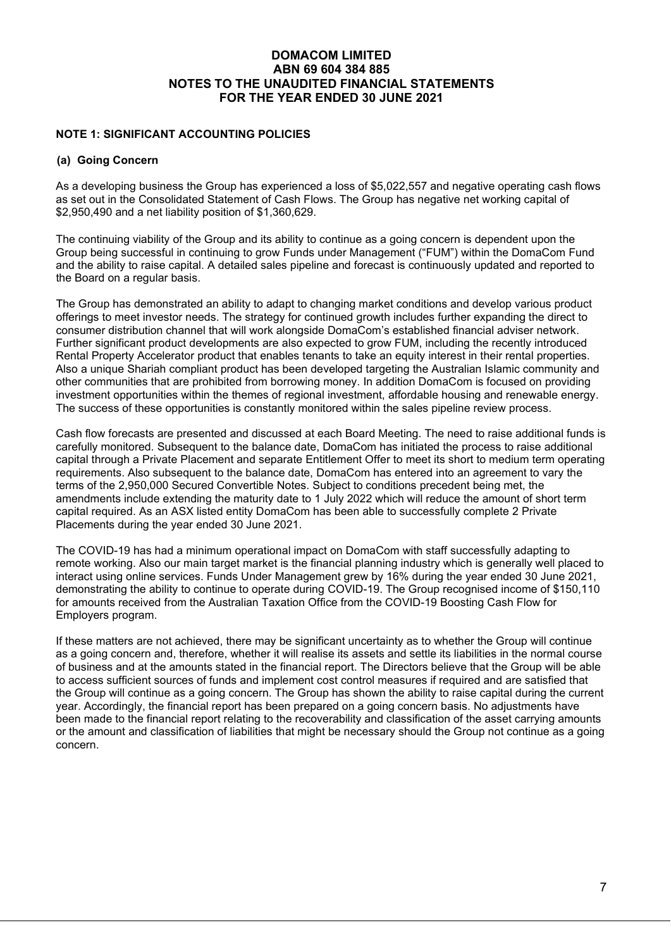#### **NOTE 1: SIGNIFICANT ACCOUNTING POLICIES**

#### **(a) Going Concern**

As a developing business the Group has experienced a loss of \$5,022,557 and negative operating cash flows as set out in the Consolidated Statement of Cash Flows. The Group has negative net working capital of \$2,950,490 and a net liability position of \$1,360,629.

The continuing viability of the Group and its ability to continue as a going concern is dependent upon the Group being successful in continuing to grow Funds under Management ("FUM") within the DomaCom Fund and the ability to raise capital. A detailed sales pipeline and forecast is continuously updated and reported to the Board on a regular basis.

The Group has demonstrated an ability to adapt to changing market conditions and develop various product offerings to meet investor needs. The strategy for continued growth includes further expanding the direct to consumer distribution channel that will work alongside DomaCom's established financial adviser network. Further significant product developments are also expected to grow FUM, including the recently introduced Rental Property Accelerator product that enables tenants to take an equity interest in their rental properties. Also a unique Shariah compliant product has been developed targeting the Australian Islamic community and other communities that are prohibited from borrowing money. In addition DomaCom is focused on providing investment opportunities within the themes of regional investment, affordable housing and renewable energy. The success of these opportunities is constantly monitored within the sales pipeline review process.

Cash flow forecasts are presented and discussed at each Board Meeting. The need to raise additional funds is carefully monitored. Subsequent to the balance date, DomaCom has initiated the process to raise additional capital through a Private Placement and separate Entitlement Offer to meet its short to medium term operating requirements. Also subsequent to the balance date, DomaCom has entered into an agreement to vary the terms of the 2,950,000 Secured Convertible Notes. Subject to conditions precedent being met, the amendments include extending the maturity date to 1 July 2022 which will reduce the amount of short term capital required. As an ASX listed entity DomaCom has been able to successfully complete 2 Private Placements during the year ended 30 June 2021.

The COVID-19 has had a minimum operational impact on DomaCom with staff successfully adapting to remote working. Also our main target market is the financial planning industry which is generally well placed to interact using online services. Funds Under Management grew by 16% during the year ended 30 June 2021, demonstrating the ability to continue to operate during COVID-19. The Group recognised income of \$150,110 for amounts received from the Australian Taxation Office from the COVID-19 Boosting Cash Flow for Employers program.

If these matters are not achieved, there may be significant uncertainty as to whether the Group will continue as a going concern and, therefore, whether it will realise its assets and settle its liabilities in the normal course of business and at the amounts stated in the financial report. The Directors believe that the Group will be able to access sufficient sources of funds and implement cost control measures if required and are satisfied that the Group will continue as a going concern. The Group has shown the ability to raise capital during the current year. Accordingly, the financial report has been prepared on a going concern basis. No adjustments have been made to the financial report relating to the recoverability and classification of the asset carrying amounts or the amount and classification of liabilities that might be necessary should the Group not continue as a going concern.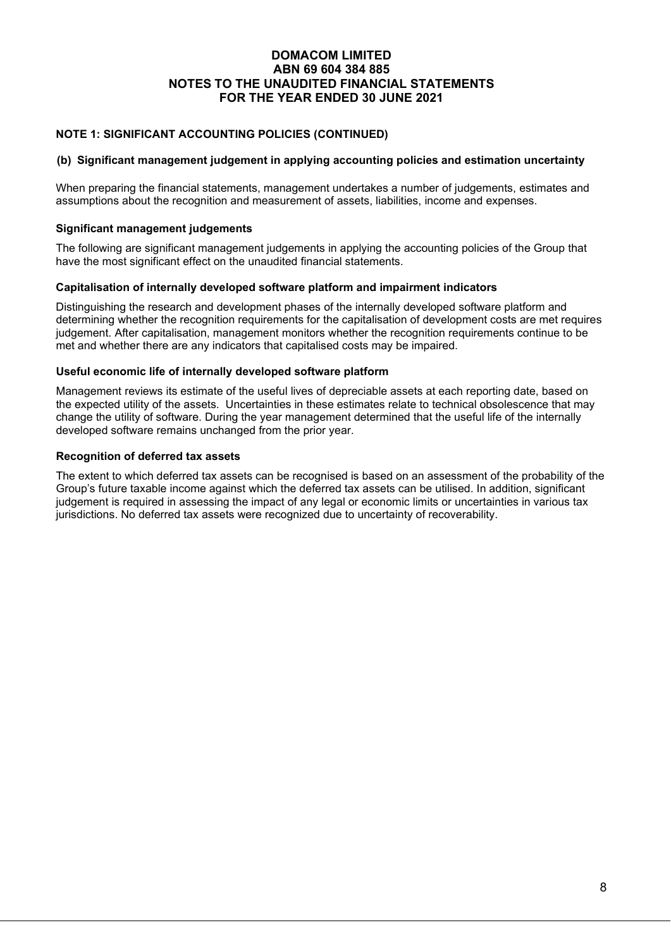# **NOTE 1: SIGNIFICANT ACCOUNTING POLICIES (CONTINUED)**

#### **(b) Significant management judgement in applying accounting policies and estimation uncertainty**

When preparing the financial statements, management undertakes a number of judgements, estimates and assumptions about the recognition and measurement of assets, liabilities, income and expenses.

#### **Significant management judgements**

The following are significant management judgements in applying the accounting policies of the Group that have the most significant effect on the unaudited financial statements.

#### **Capitalisation of internally developed software platform and impairment indicators**

Distinguishing the research and development phases of the internally developed software platform and determining whether the recognition requirements for the capitalisation of development costs are met requires judgement. After capitalisation, management monitors whether the recognition requirements continue to be met and whether there are any indicators that capitalised costs may be impaired.

#### **Useful economic life of internally developed software platform**

Management reviews its estimate of the useful lives of depreciable assets at each reporting date, based on the expected utility of the assets. Uncertainties in these estimates relate to technical obsolescence that may change the utility of software. During the year management determined that the useful life of the internally developed software remains unchanged from the prior year.

#### **Recognition of deferred tax assets**

The extent to which deferred tax assets can be recognised is based on an assessment of the probability of the Group's future taxable income against which the deferred tax assets can be utilised. In addition, significant judgement is required in assessing the impact of any legal or economic limits or uncertainties in various tax jurisdictions. No deferred tax assets were recognized due to uncertainty of recoverability.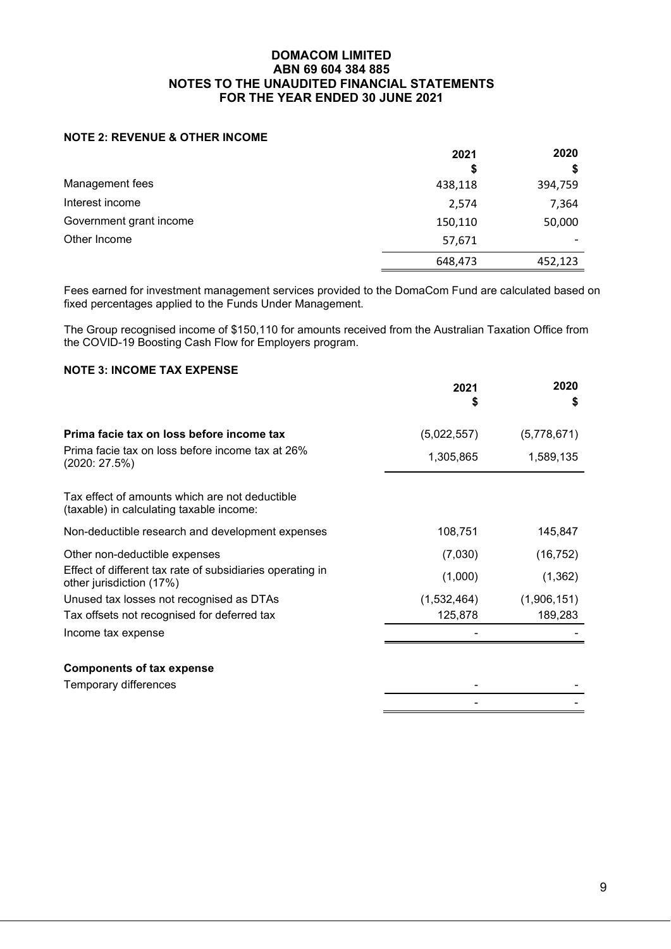### **NOTE 2: REVENUE & OTHER INCOME**

|                         | 2021    | 2020    |  |
|-------------------------|---------|---------|--|
|                         | \$      |         |  |
| Management fees         | 438,118 | 394,759 |  |
| Interest income         | 2,574   | 7,364   |  |
| Government grant income | 150,110 | 50,000  |  |
| Other Income            | 57,671  |         |  |
|                         | 648,473 | 452,123 |  |

Fees earned for investment management services provided to the DomaCom Fund are calculated based on fixed percentages applied to the Funds Under Management.

The Group recognised income of \$150,110 for amounts received from the Australian Taxation Office from the COVID-19 Boosting Cash Flow for Employers program.

# **NOTE 3: INCOME TAX EXPENSE**

|                                                                                            | 2021<br>S   | 2020<br>\$  |
|--------------------------------------------------------------------------------------------|-------------|-------------|
| Prima facie tax on loss before income tax                                                  | (5,022,557) | (5,778,671) |
| Prima facie tax on loss before income tax at 26%<br>(2020: 27.5%)                          | 1,305,865   | 1,589,135   |
| Tax effect of amounts which are not deductible<br>(taxable) in calculating taxable income: |             |             |
| Non-deductible research and development expenses                                           | 108,751     | 145,847     |
| Other non-deductible expenses                                                              | (7,030)     | (16, 752)   |
| Effect of different tax rate of subsidiaries operating in<br>other jurisdiction (17%)      | (1,000)     | (1, 362)    |
| Unused tax losses not recognised as DTAs                                                   | (1,532,464) | (1,906,151) |
| Tax offsets not recognised for deferred tax                                                | 125,878     | 189,283     |
| Income tax expense                                                                         |             |             |
| <b>Components of tax expense</b>                                                           |             |             |
| Temporary differences                                                                      |             |             |

- -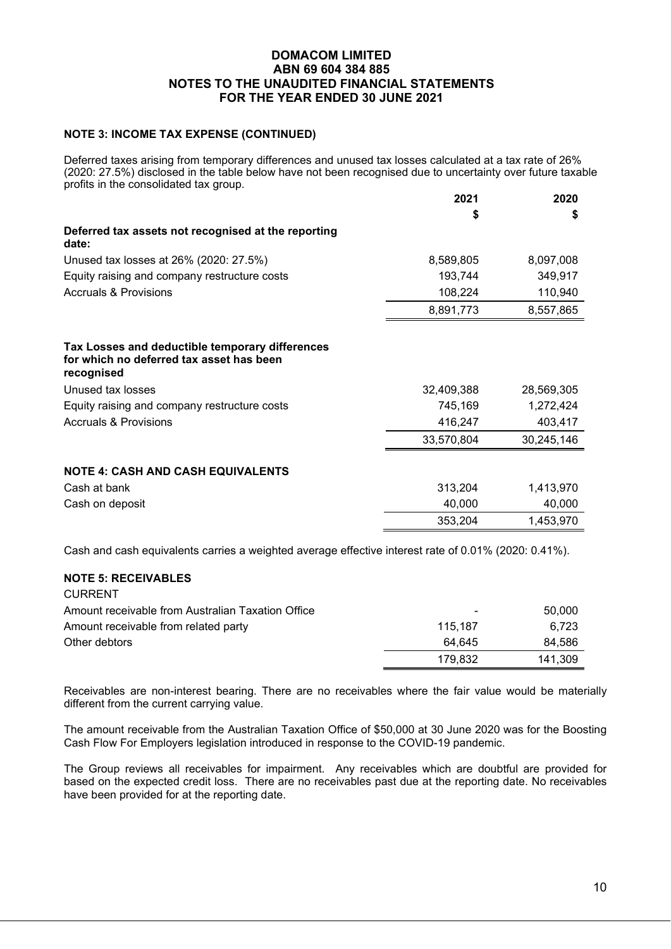#### **NOTE 3: INCOME TAX EXPENSE (CONTINUED)**

Deferred taxes arising from temporary differences and unused tax losses calculated at a tax rate of 26% (2020: 27.5%) disclosed in the table below have not been recognised due to uncertainty over future taxable profits in the consolidated tax group.

|                                                                                                           | 2021       | 2020       |
|-----------------------------------------------------------------------------------------------------------|------------|------------|
|                                                                                                           | \$         | S          |
| Deferred tax assets not recognised at the reporting<br>date:                                              |            |            |
| Unused tax losses at 26% (2020: 27.5%)                                                                    | 8,589,805  | 8,097,008  |
| Equity raising and company restructure costs                                                              | 193,744    | 349,917    |
| <b>Accruals &amp; Provisions</b>                                                                          | 108,224    | 110,940    |
|                                                                                                           | 8,891,773  | 8,557,865  |
| Tax Losses and deductible temporary differences<br>for which no deferred tax asset has been<br>recognised |            |            |
| Unused tax losses                                                                                         | 32,409,388 | 28,569,305 |
| Equity raising and company restructure costs                                                              | 745,169    | 1,272,424  |
| <b>Accruals &amp; Provisions</b>                                                                          | 416,247    | 403,417    |
|                                                                                                           | 33,570,804 | 30,245,146 |
| <b>NOTE 4: CASH AND CASH EQUIVALENTS</b>                                                                  |            |            |
| Cash at bank                                                                                              | 313,204    | 1,413,970  |
| Cash on deposit                                                                                           | 40,000     | 40,000     |
|                                                                                                           | 353,204    | 1,453,970  |
|                                                                                                           |            |            |

Cash and cash equivalents carries a weighted average effective interest rate of 0.01% (2020: 0.41%).

#### **NOTE 5: RECEIVABLES**

| <b>CURRENT</b>                                    |         |         |
|---------------------------------------------------|---------|---------|
| Amount receivable from Australian Taxation Office | -       | 50,000  |
| Amount receivable from related party              | 115.187 | 6.723   |
| Other debtors                                     | 64.645  | 84.586  |
|                                                   | 179.832 | 141.309 |

Receivables are non-interest bearing. There are no receivables where the fair value would be materially different from the current carrying value.

The amount receivable from the Australian Taxation Office of \$50,000 at 30 June 2020 was for the Boosting Cash Flow For Employers legislation introduced in response to the COVID-19 pandemic.

The Group reviews all receivables for impairment. Any receivables which are doubtful are provided for based on the expected credit loss. There are no receivables past due at the reporting date. No receivables have been provided for at the reporting date.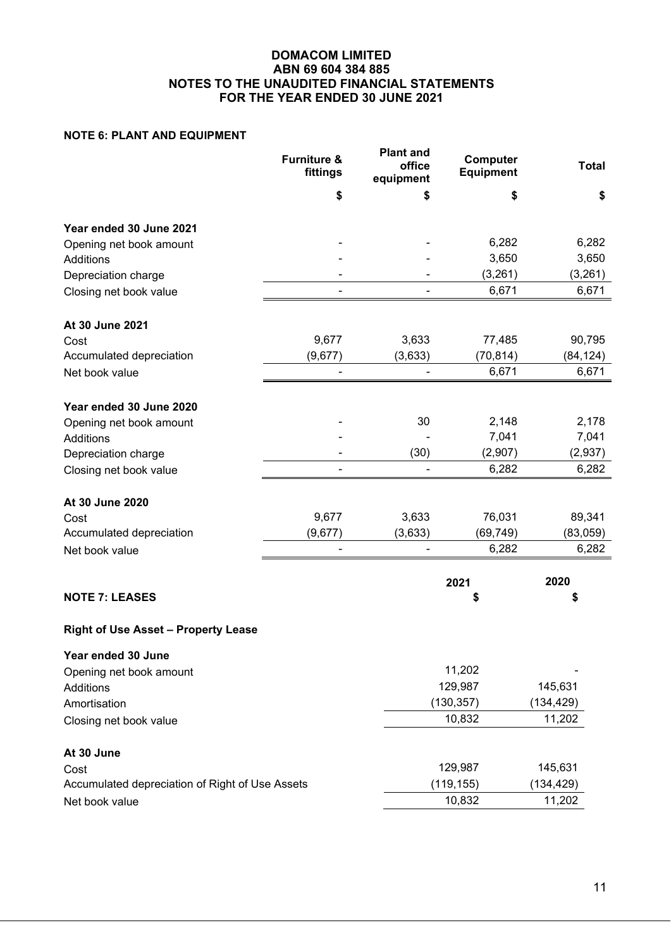# **NOTE 6: PLANT AND EQUIPMENT**

|                                                 | <b>Furniture &amp;</b><br>fittings | <b>Plant and</b><br>office<br>equipment | Computer<br><b>Equipment</b> | <b>Total</b> |
|-------------------------------------------------|------------------------------------|-----------------------------------------|------------------------------|--------------|
|                                                 | \$                                 | \$                                      | \$                           | \$           |
| Year ended 30 June 2021                         |                                    |                                         |                              |              |
| Opening net book amount                         |                                    |                                         | 6,282                        | 6,282        |
| Additions                                       |                                    |                                         | 3,650                        | 3,650        |
| Depreciation charge                             |                                    |                                         | (3,261)                      | (3,261)      |
| Closing net book value                          | ÷                                  | -                                       | 6,671                        | 6,671        |
|                                                 |                                    |                                         |                              |              |
| At 30 June 2021                                 |                                    |                                         |                              |              |
| Cost                                            | 9,677                              | 3,633                                   | 77,485                       | 90,795       |
| Accumulated depreciation                        | (9,677)                            | (3,633)                                 | (70, 814)                    | (84, 124)    |
| Net book value                                  |                                    |                                         | 6,671                        | 6,671        |
|                                                 |                                    |                                         |                              |              |
| Year ended 30 June 2020                         |                                    |                                         |                              |              |
| Opening net book amount                         |                                    | 30                                      | 2,148                        | 2,178        |
| Additions                                       |                                    |                                         | 7,041                        | 7,041        |
| Depreciation charge                             |                                    | (30)                                    | (2,907)                      | (2,937)      |
| Closing net book value                          |                                    |                                         | 6,282                        | 6,282        |
|                                                 |                                    |                                         |                              |              |
| At 30 June 2020                                 | 9,677                              | 3,633                                   | 76,031                       | 89,341       |
| Cost<br>Accumulated depreciation                | (9,677)                            | (3,633)                                 | (69, 749)                    | (83,059)     |
| Net book value                                  |                                    |                                         | 6,282                        | 6,282        |
|                                                 |                                    |                                         |                              |              |
|                                                 |                                    |                                         | 2021                         | 2020         |
| <b>NOTE 7: LEASES</b>                           |                                    |                                         | \$                           | \$           |
|                                                 |                                    |                                         |                              |              |
| <b>Right of Use Asset - Property Lease</b>      |                                    |                                         |                              |              |
| Year ended 30 June                              |                                    |                                         |                              |              |
| Opening net book amount                         |                                    |                                         | 11,202                       |              |
| Additions                                       |                                    |                                         | 129,987                      | 145,631      |
| Amortisation                                    |                                    |                                         | (130, 357)                   | (134, 429)   |
| Closing net book value                          |                                    |                                         | 10,832                       | 11,202       |
| At 30 June                                      |                                    |                                         |                              |              |
| Cost                                            |                                    |                                         | 129,987                      | 145,631      |
| Accumulated depreciation of Right of Use Assets |                                    |                                         | (119, 155)                   | (134, 429)   |
| Net book value                                  |                                    |                                         | 10,832                       | 11,202       |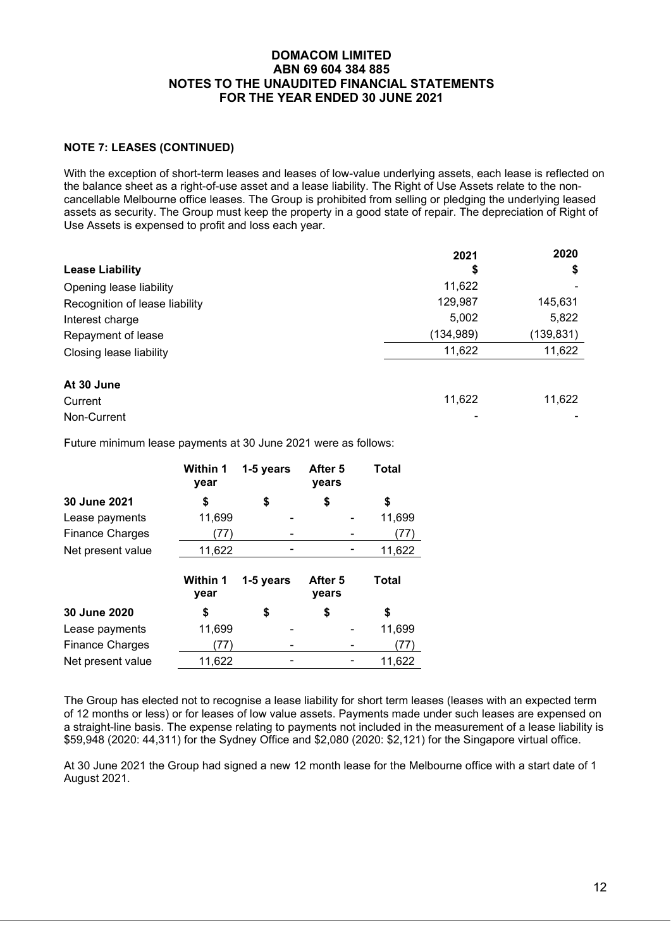### **NOTE 7: LEASES (CONTINUED)**

With the exception of short-term leases and leases of low-value underlying assets, each lease is reflected on the balance sheet as a right-of-use asset and a lease liability. The Right of Use Assets relate to the noncancellable Melbourne office leases. The Group is prohibited from selling or pledging the underlying leased assets as security. The Group must keep the property in a good state of repair. The depreciation of Right of Use Assets is expensed to profit and loss each year.

|                                | 2021       | 2020      |
|--------------------------------|------------|-----------|
| <b>Lease Liability</b>         | \$         | \$        |
| Opening lease liability        | 11,622     |           |
| Recognition of lease liability | 129,987    | 145,631   |
| Interest charge                | 5,002      | 5,822     |
| Repayment of lease             | (134, 989) | (139,831) |
| Closing lease liability        | 11,622     | 11,622    |
| At 30 June                     |            |           |
| Current                        | 11,622     | 11,622    |
| Non-Current                    |            |           |

Future minimum lease payments at 30 June 2021 were as follows:

|                        | <b>Within 1</b><br>year | 1-5 years | After 5<br>years | <b>Total</b> |
|------------------------|-------------------------|-----------|------------------|--------------|
| 30 June 2021           | S                       | \$        | \$               | \$           |
| Lease payments         | 11,699                  |           |                  | 11,699       |
| <b>Finance Charges</b> | 77)                     |           |                  | (77          |
| Net present value      | 11,622                  |           |                  | 11,622       |
|                        | <b>Within 1</b><br>year | 1-5 years | After 5<br>years | Total        |
| 30 June 2020           | \$                      | \$        | \$               | \$           |
| Lease payments         | 11,699                  |           |                  | 11,699       |
| <b>Finance Charges</b> | 77)                     |           |                  | 77)          |
| Net present value      | 11,622                  |           |                  | 11,622       |

The Group has elected not to recognise a lease liability for short term leases (leases with an expected term of 12 months or less) or for leases of low value assets. Payments made under such leases are expensed on a straight-line basis. The expense relating to payments not included in the measurement of a lease liability is \$59,948 (2020: 44,311) for the Sydney Office and \$2,080 (2020: \$2,121) for the Singapore virtual office.

At 30 June 2021 the Group had signed a new 12 month lease for the Melbourne office with a start date of 1 August 2021.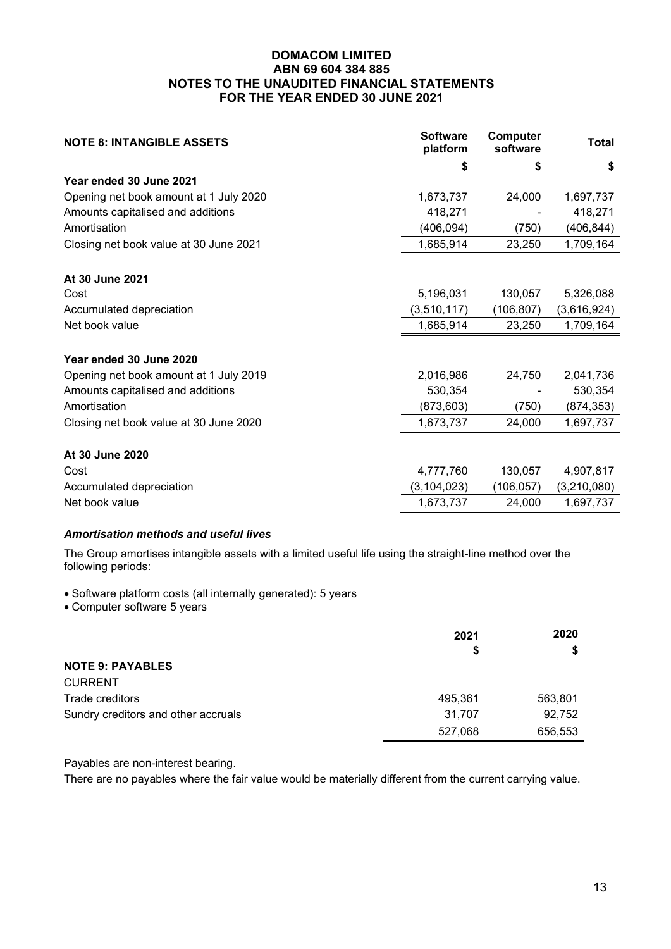| <b>NOTE 8: INTANGIBLE ASSETS</b>       | <b>Software</b><br>platform | Computer<br>software | <b>Total</b> |
|----------------------------------------|-----------------------------|----------------------|--------------|
|                                        | S                           | \$                   | \$           |
| Year ended 30 June 2021                |                             |                      |              |
| Opening net book amount at 1 July 2020 | 1,673,737                   | 24,000               | 1,697,737    |
| Amounts capitalised and additions      | 418,271                     |                      | 418,271      |
| Amortisation                           | (406,094)                   | (750)                | (406,844)    |
| Closing net book value at 30 June 2021 | 1,685,914                   | 23,250               | 1,709,164    |
| At 30 June 2021                        |                             |                      |              |
| Cost                                   | 5,196,031                   | 130,057              | 5,326,088    |
| Accumulated depreciation               | (3,510,117)                 | (106, 807)           | (3,616,924)  |
| Net book value                         | 1,685,914                   | 23,250               | 1,709,164    |
| Year ended 30 June 2020                |                             |                      |              |
| Opening net book amount at 1 July 2019 | 2,016,986                   | 24,750               | 2,041,736    |
| Amounts capitalised and additions      | 530,354                     |                      | 530,354      |
| Amortisation                           | (873, 603)                  | (750)                | (874,353)    |
| Closing net book value at 30 June 2020 | 1,673,737                   | 24,000               | 1,697,737    |
| At 30 June 2020                        |                             |                      |              |
| Cost                                   | 4,777,760                   | 130,057              | 4,907,817    |
| Accumulated depreciation               | (3, 104, 023)               | (106, 057)           | (3,210,080)  |
| Net book value                         | 1,673,737                   | 24,000               | 1,697,737    |

# *Amortisation methods and useful lives*

The Group amortises intangible assets with a limited useful life using the straight-line method over the following periods:

• Software platform costs (all internally generated): 5 years

• Computer software 5 years

|                                     | 2021    | 2020    |  |
|-------------------------------------|---------|---------|--|
|                                     | S       | S       |  |
| <b>NOTE 9: PAYABLES</b>             |         |         |  |
| <b>CURRENT</b>                      |         |         |  |
| Trade creditors                     | 495,361 | 563,801 |  |
| Sundry creditors and other accruals | 31,707  | 92,752  |  |
|                                     | 527,068 | 656,553 |  |

Payables are non-interest bearing.

There are no payables where the fair value would be materially different from the current carrying value.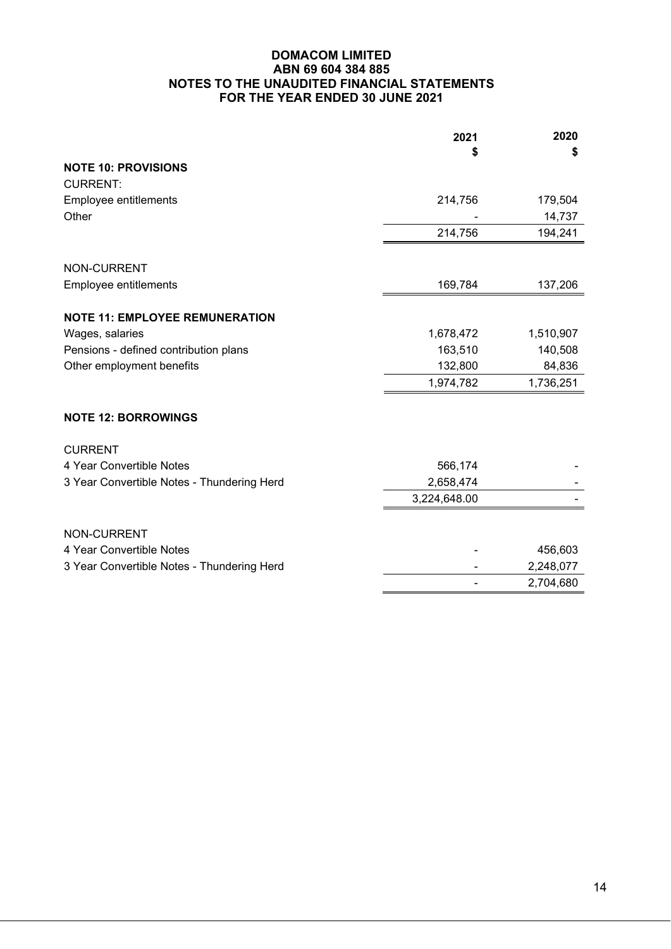|                                            | 2021         | 2020      |
|--------------------------------------------|--------------|-----------|
|                                            | \$           | S         |
| <b>NOTE 10: PROVISIONS</b>                 |              |           |
| <b>CURRENT:</b>                            |              |           |
| Employee entitlements                      | 214,756      | 179,504   |
| Other                                      |              | 14,737    |
|                                            | 214,756      | 194,241   |
| <b>NON-CURRENT</b>                         |              |           |
|                                            |              |           |
| Employee entitlements                      | 169,784      | 137,206   |
| <b>NOTE 11: EMPLOYEE REMUNERATION</b>      |              |           |
| Wages, salaries                            | 1,678,472    | 1,510,907 |
| Pensions - defined contribution plans      | 163,510      | 140,508   |
| Other employment benefits                  | 132,800      | 84,836    |
|                                            | 1,974,782    | 1,736,251 |
| <b>NOTE 12: BORROWINGS</b>                 |              |           |
| <b>CURRENT</b>                             |              |           |
| 4 Year Convertible Notes                   | 566,174      |           |
| 3 Year Convertible Notes - Thundering Herd | 2,658,474    |           |
|                                            | 3,224,648.00 |           |
| NON-CURRENT                                |              |           |
| 4 Year Convertible Notes                   |              | 456,603   |
| 3 Year Convertible Notes - Thundering Herd |              | 2,248,077 |
|                                            |              | 2,704,680 |
|                                            |              |           |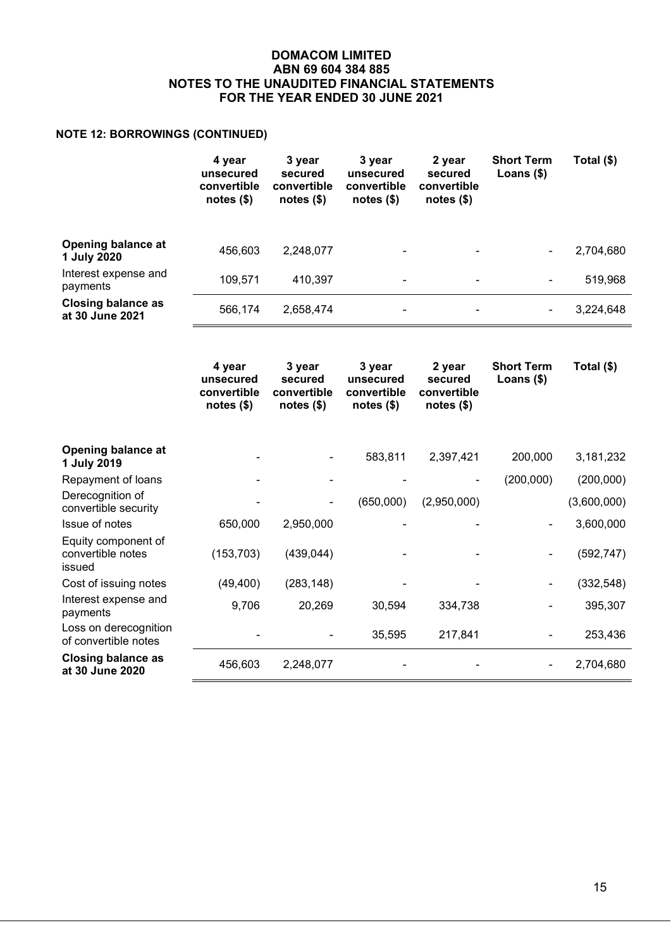# **NOTE 12: BORROWINGS (CONTINUED)**

|                                              | 4 year<br>unsecured<br>convertible<br>notes $($)$ | 3 year<br>secured<br>convertible<br>notes $($)$ | 3 year<br>unsecured<br>convertible<br>notes $($)$ | 2 year<br>secured<br>convertible<br>notes $($)$ | <b>Short Term</b><br>Loans $($)$ | Total (\$) |
|----------------------------------------------|---------------------------------------------------|-------------------------------------------------|---------------------------------------------------|-------------------------------------------------|----------------------------------|------------|
| <b>Opening balance at</b><br>1 July 2020     | 456,603                                           | 2,248,077                                       | $\blacksquare$                                    | ۰                                               |                                  | 2,704,680  |
| Interest expense and<br>payments             | 109.571                                           | 410,397                                         | $\blacksquare$                                    | ۰                                               | ۰                                | 519,968    |
| <b>Closing balance as</b><br>at 30 June 2021 | 566,174                                           | 2,658,474                                       | -                                                 | ۰                                               |                                  | 3,224,648  |

|                                                    | 4 year<br>unsecured<br>convertible<br>notes $(\$)$ | 3 year<br>secured<br>convertible<br>notes $(\$)$ | 3 year<br>unsecured<br>convertible<br>notes $(\$)$ | 2 year<br>secured<br>convertible<br>notes $($)$ | <b>Short Term</b><br>Loans $(*)$ | Total (\$)  |
|----------------------------------------------------|----------------------------------------------------|--------------------------------------------------|----------------------------------------------------|-------------------------------------------------|----------------------------------|-------------|
| Opening balance at<br>1 July 2019                  |                                                    |                                                  | 583,811                                            | 2,397,421                                       | 200,000                          | 3,181,232   |
| Repayment of loans                                 |                                                    |                                                  |                                                    |                                                 | (200,000)                        | (200,000)   |
| Derecognition of<br>convertible security           |                                                    |                                                  | (650,000)                                          | (2,950,000)                                     |                                  | (3,600,000) |
| Issue of notes                                     | 650,000                                            | 2,950,000                                        |                                                    |                                                 |                                  | 3,600,000   |
| Equity component of<br>convertible notes<br>issued | (153, 703)                                         | (439, 044)                                       |                                                    |                                                 |                                  | (592, 747)  |
| Cost of issuing notes                              | (49, 400)                                          | (283, 148)                                       |                                                    |                                                 |                                  | (332, 548)  |
| Interest expense and<br>payments                   | 9,706                                              | 20,269                                           | 30,594                                             | 334,738                                         |                                  | 395,307     |
| Loss on derecognition<br>of convertible notes      |                                                    |                                                  | 35,595                                             | 217,841                                         |                                  | 253,436     |
| <b>Closing balance as</b><br>at 30 June 2020       | 456,603                                            | 2,248,077                                        |                                                    |                                                 |                                  | 2,704,680   |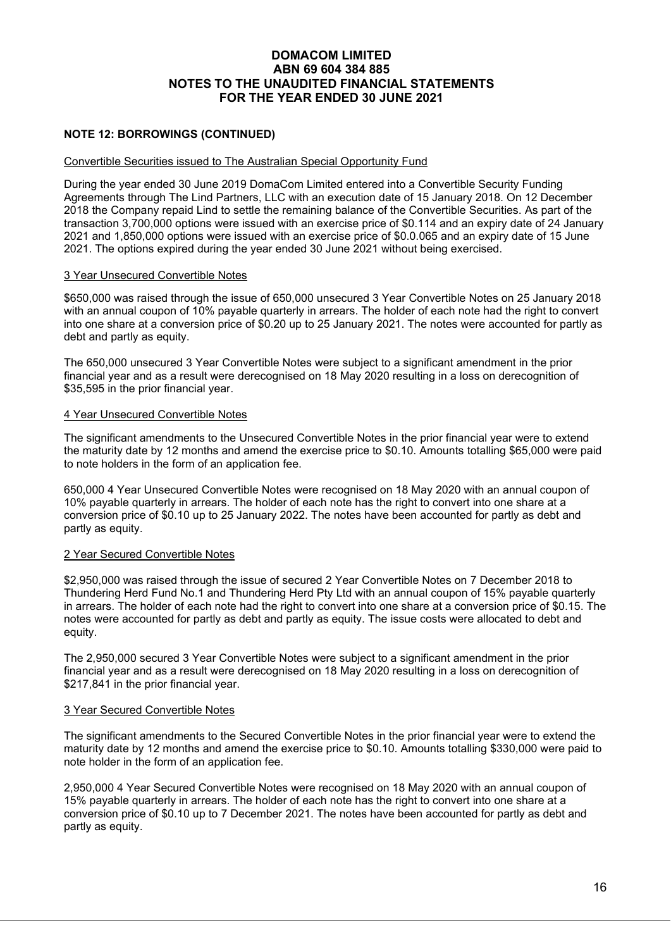# **NOTE 12: BORROWINGS (CONTINUED)**

#### Convertible Securities issued to The Australian Special Opportunity Fund

During the year ended 30 June 2019 DomaCom Limited entered into a Convertible Security Funding Agreements through The Lind Partners, LLC with an execution date of 15 January 2018. On 12 December 2018 the Company repaid Lind to settle the remaining balance of the Convertible Securities. As part of the transaction 3,700,000 options were issued with an exercise price of \$0.114 and an expiry date of 24 January 2021 and 1,850,000 options were issued with an exercise price of \$0.0.065 and an expiry date of 15 June 2021. The options expired during the year ended 30 June 2021 without being exercised.

#### 3 Year Unsecured Convertible Notes

\$650,000 was raised through the issue of 650,000 unsecured 3 Year Convertible Notes on 25 January 2018 with an annual coupon of 10% payable quarterly in arrears. The holder of each note had the right to convert into one share at a conversion price of \$0.20 up to 25 January 2021. The notes were accounted for partly as debt and partly as equity.

The 650,000 unsecured 3 Year Convertible Notes were subject to a significant amendment in the prior financial year and as a result were derecognised on 18 May 2020 resulting in a loss on derecognition of \$35,595 in the prior financial year.

#### 4 Year Unsecured Convertible Notes

The significant amendments to the Unsecured Convertible Notes in the prior financial year were to extend the maturity date by 12 months and amend the exercise price to \$0.10. Amounts totalling \$65,000 were paid to note holders in the form of an application fee.

650,000 4 Year Unsecured Convertible Notes were recognised on 18 May 2020 with an annual coupon of 10% payable quarterly in arrears. The holder of each note has the right to convert into one share at a conversion price of \$0.10 up to 25 January 2022. The notes have been accounted for partly as debt and partly as equity.

#### 2 Year Secured Convertible Notes

\$2,950,000 was raised through the issue of secured 2 Year Convertible Notes on 7 December 2018 to Thundering Herd Fund No.1 and Thundering Herd Pty Ltd with an annual coupon of 15% payable quarterly in arrears. The holder of each note had the right to convert into one share at a conversion price of \$0.15. The notes were accounted for partly as debt and partly as equity. The issue costs were allocated to debt and equity.

The 2,950,000 secured 3 Year Convertible Notes were subject to a significant amendment in the prior financial year and as a result were derecognised on 18 May 2020 resulting in a loss on derecognition of \$217,841 in the prior financial year.

#### 3 Year Secured Convertible Notes

The significant amendments to the Secured Convertible Notes in the prior financial year were to extend the maturity date by 12 months and amend the exercise price to \$0.10. Amounts totalling \$330,000 were paid to note holder in the form of an application fee.

2,950,000 4 Year Secured Convertible Notes were recognised on 18 May 2020 with an annual coupon of 15% payable quarterly in arrears. The holder of each note has the right to convert into one share at a conversion price of \$0.10 up to 7 December 2021. The notes have been accounted for partly as debt and partly as equity.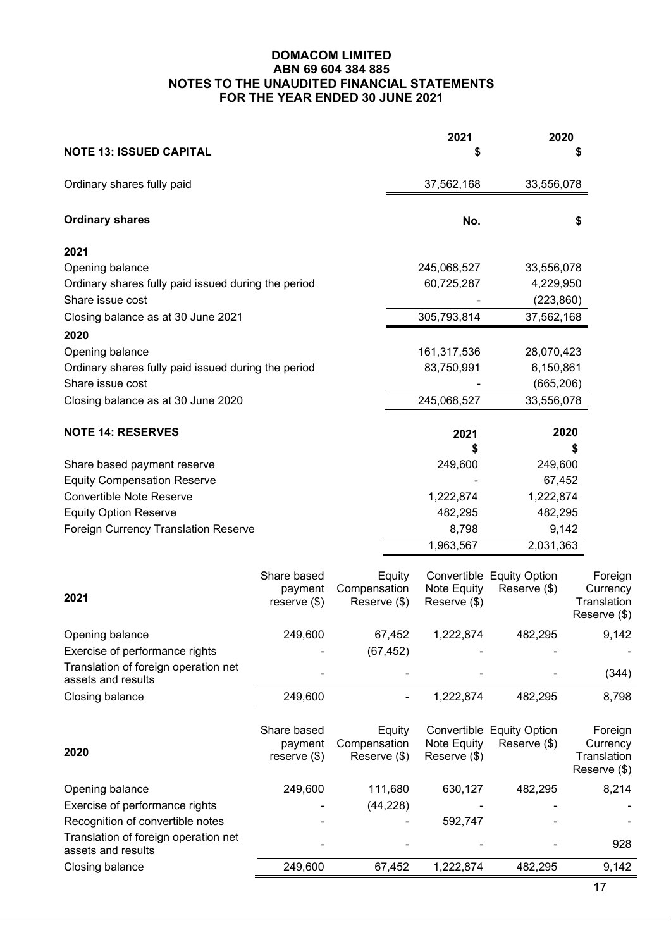| <b>NOTE 13: ISSUED CAPITAL</b>                             |                |              | 2021         | 2020                      |                             |
|------------------------------------------------------------|----------------|--------------|--------------|---------------------------|-----------------------------|
| Ordinary shares fully paid                                 |                |              | 37,562,168   | 33,556,078                |                             |
| <b>Ordinary shares</b>                                     |                |              | No.          |                           | \$                          |
| 2021                                                       |                |              |              |                           |                             |
| Opening balance                                            |                |              | 245,068,527  | 33,556,078                |                             |
| Ordinary shares fully paid issued during the period        |                |              | 60,725,287   | 4,229,950                 |                             |
| Share issue cost                                           |                |              |              | (223, 860)                |                             |
| Closing balance as at 30 June 2021                         |                |              | 305,793,814  | 37,562,168                |                             |
| 2020                                                       |                |              |              |                           |                             |
| Opening balance                                            |                |              | 161,317,536  | 28,070,423                |                             |
| Ordinary shares fully paid issued during the period        |                |              | 83,750,991   | 6,150,861                 |                             |
| Share issue cost                                           |                |              |              | (665, 206)                |                             |
| Closing balance as at 30 June 2020                         |                |              | 245,068,527  | 33,556,078                |                             |
| <b>NOTE 14: RESERVES</b>                                   |                |              | 2021         |                           | 2020                        |
|                                                            |                |              | \$           |                           | \$                          |
| Share based payment reserve                                |                |              | 249,600      | 249,600                   |                             |
| <b>Equity Compensation Reserve</b>                         |                |              |              | 67,452                    |                             |
| <b>Convertible Note Reserve</b>                            |                |              | 1,222,874    | 1,222,874                 |                             |
| <b>Equity Option Reserve</b>                               |                |              | 482,295      | 482,295                   |                             |
| <b>Foreign Currency Translation Reserve</b>                |                |              | 8,798        |                           | 9,142                       |
|                                                            |                |              | 1,963,567    | 2,031,363                 |                             |
|                                                            | Share based    | Equity       |              | Convertible Equity Option | Foreign                     |
|                                                            | payment        | Compensation | Note Equity  | Reserve (\$)              | Currency                    |
| 2021                                                       | reserve $(\$)$ | Reserve (\$) | Reserve (\$) |                           | Translation                 |
|                                                            |                |              |              |                           | Reserve (\$)                |
| Opening balance                                            | 249,600        | 67.452       | 1,222,874    | 482.295                   | 9,142                       |
| Exercise of performance rights                             |                | (67, 452)    |              |                           |                             |
| Translation of foreign operation net<br>assets and results |                |              |              |                           | (344)                       |
| Closing balance                                            | 249,600        |              | 1,222,874    | 482,295                   | 8,798                       |
|                                                            |                |              |              |                           |                             |
|                                                            | Share based    | Equity       |              | Convertible Equity Option | Foreign                     |
| 2020                                                       | payment        | Compensation | Note Equity  | Reserve (\$)              | Currency                    |
|                                                            | reserve $(\$)$ | Reserve (\$) | Reserve (\$) |                           | Translation<br>Reserve (\$) |
| Opening balance                                            | 249,600        | 111,680      | 630,127      | 482,295                   | 8,214                       |
| Exercise of performance rights                             |                | (44, 228)    |              |                           |                             |
| Recognition of convertible notes                           |                |              | 592,747      |                           |                             |
| Translation of foreign operation net<br>assets and results |                |              |              |                           | 928                         |
| Closing balance                                            | 249,600        | 67,452       | 1,222,874    | 482,295                   | 9,142                       |
|                                                            |                |              |              |                           | 17                          |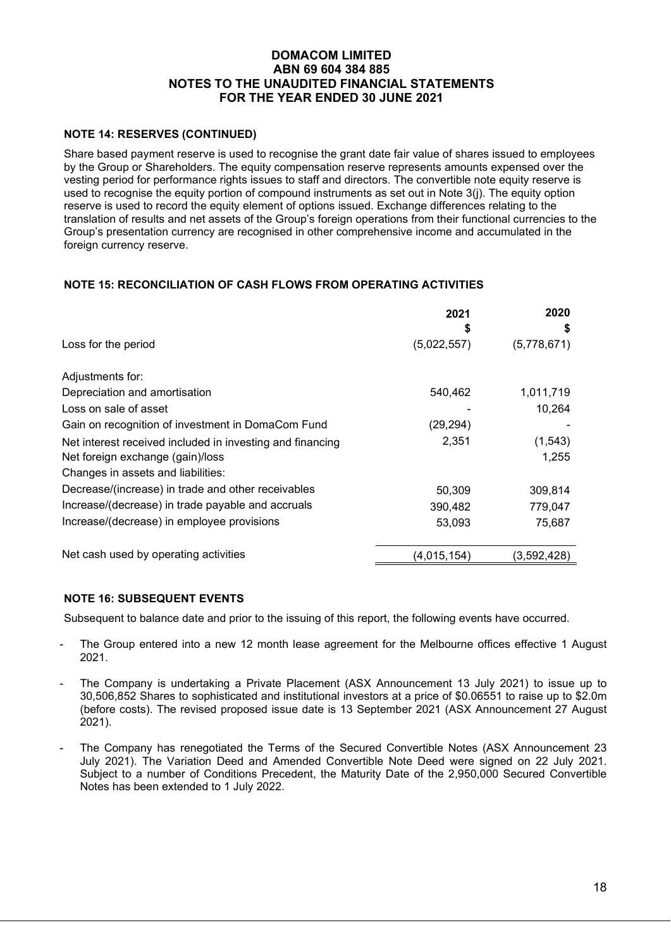### **NOTE 14: RESERVES (CONTINUED)**

Share based payment reserve is used to recognise the grant date fair value of shares issued to employees by the Group or Shareholders. The equity compensation reserve represents amounts expensed over the vesting period for performance rights issues to staff and directors. The convertible note equity reserve is used to recognise the equity portion of compound instruments as set out in Note 3(j). The equity option reserve is used to record the equity element of options issued. Exchange differences relating to the translation of results and net assets of the Group's foreign operations from their functional currencies to the Group's presentation currency are recognised in other comprehensive income and accumulated in the foreign currency reserve.

# **NOTE 15: RECONCILIATION OF CASH FLOWS FROM OPERATING ACTIVITIES**

|                                                           | 2021<br>S   | 2020<br>S   |
|-----------------------------------------------------------|-------------|-------------|
| Loss for the period                                       | (5,022,557) | (5,778,671) |
| Adjustments for:                                          |             |             |
| Depreciation and amortisation                             | 540,462     | 1,011,719   |
| Loss on sale of asset                                     |             | 10,264      |
| Gain on recognition of investment in DomaCom Fund         | (29,294)    |             |
| Net interest received included in investing and financing | 2,351       | (1, 543)    |
| Net foreign exchange (gain)/loss                          |             | 1,255       |
| Changes in assets and liabilities:                        |             |             |
| Decrease/(increase) in trade and other receivables        | 50,309      | 309,814     |
| Increase/(decrease) in trade payable and accruals         | 390,482     | 779,047     |
| Increase/(decrease) in employee provisions                | 53,093      | 75,687      |
| Net cash used by operating activities                     | (4,015,154) | (3,592,428) |

#### **NOTE 16: SUBSEQUENT EVENTS**

Subsequent to balance date and prior to the issuing of this report, the following events have occurred.

- The Group entered into a new 12 month lease agreement for the Melbourne offices effective 1 August 2021.
- The Company is undertaking a Private Placement (ASX Announcement 13 July 2021) to issue up to 30,506,852 Shares to sophisticated and institutional investors at a price of \$0.06551 to raise up to \$2.0m (before costs). The revised proposed issue date is 13 September 2021 (ASX Announcement 27 August 2021).
- The Company has renegotiated the Terms of the Secured Convertible Notes (ASX Announcement 23 July 2021). The Variation Deed and Amended Convertible Note Deed were signed on 22 July 2021. Subject to a number of Conditions Precedent, the Maturity Date of the 2,950,000 Secured Convertible Notes has been extended to 1 July 2022.